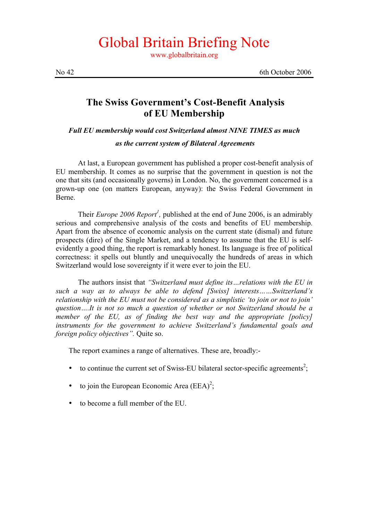# Global Britain Briefing Note

www.globalbritain.org

No 42 6th October 2006

# **The Swiss Government's Cost-Benefit Analysis of EU Membership**

*Full EU membership would cost Switzerland almost NINE TIMES as much*

*as the current system of Bilateral Agreements*

At last, a European government has published a proper cost-benefit analysis of EU membership. It comes as no surprise that the government in question is not the one that sits (and occasionally governs) in London. No, the government concerned is a grown-up one (on matters European, anyway): the Swiss Federal Government in Berne.

Their *Europe 2006 Report<sup>1</sup>*, published at the end of June 2006, is an admirably serious and comprehensive analysis of the costs and benefits of EU membership. Apart from the absence of economic analysis on the current state (dismal) and future prospects (dire) of the Single Market, and a tendency to assume that the EU is selfevidently a good thing, the report is remarkably honest. Its language is free of political correctness: it spells out bluntly and unequivocally the hundreds of areas in which Switzerland would lose sovereignty if it were ever to join the EU.

The authors insist that *"Switzerland must define its…relations with the EU in such a way as to always be able to defend [Swiss] interests……Switzerland's relationship with the EU must not be considered as a simplistic 'to join or not to join' question….It is not so much a question of whether or not Switzerland should be a member of the EU, as of finding the best way and the appropriate [policy] instruments for the government to achieve Switzerland's fundamental goals and foreign policy objectives".* Quite so.

The report examines a range of alternatives. These are, broadly:-

- to continue the current set of Swiss-EU bilateral sector-specific agreements<sup>2</sup>;
- to join the European Economic Area  $(EEA)^2$ ;
- to become a full member of the EU.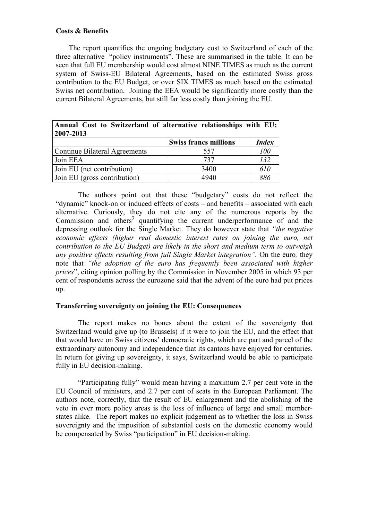## **Costs & Benefits**

The report quantifies the ongoing budgetary cost to Switzerland of each of the three alternative "policy instruments". These are summarised in the table. It can be seen that full EU membership would cost almost NINE TIMES as much as the current system of Swiss-EU Bilateral Agreements, based on the estimated Swiss gross contribution to the EU Budget, or over SIX TIMES as much based on the estimated Swiss net contribution. Joining the EEA would be significantly more costly than the current Bilateral Agreements, but still far less costly than joining the EU.

| Annual Cost to Switzerland of alternative relationships with EU:<br>2007-2013 |                              |              |
|-------------------------------------------------------------------------------|------------------------------|--------------|
|                                                                               | <b>Swiss francs millions</b> | <b>Index</b> |
| Continue Bilateral Agreements                                                 | 557                          | 100          |
| Join EEA                                                                      | 737                          | 132          |
| Join EU (net contribution)                                                    | 3400                         | 610          |
| Join EU (gross contribution)                                                  | 4940                         | 886          |

The authors point out that these "budgetary" costs do not reflect the "dynamic" knock-on or induced effects of costs – and benefits – associated with each alternative. Curiously, they do not cite any of the numerous reports by the Commission and others<sup>3</sup> quantifying the current underperformance of and the depressing outlook for the Single Market. They do however state that *"the negative economic effects (higher real domestic interest rates on joining the euro, net contribution to the EU Budget) are likely in the short and medium term to outweigh any positive effects resulting from full Single Market integration".* On the euro*,* they note that *"the adoption of the euro has frequently been associated with higher prices*", citing opinion polling by the Commission in November 2005 in which 93 per cent of respondents across the eurozone said that the advent of the euro had put prices up.

## **Transferring sovereignty on joining the EU: Consequences**

The report makes no bones about the extent of the sovereignty that Switzerland would give up (to Brussels) if it were to join the EU, and the effect that that would have on Swiss citizens' democratic rights, which are part and parcel of the extraordinary autonomy and independence that its cantons have enjoyed for centuries. In return for giving up sovereignty, it says, Switzerland would be able to participate fully in EU decision-making.

"Participating fully" would mean having a maximum 2.7 per cent vote in the EU Council of ministers, and 2.7 per cent of seats in the European Parliament. The authors note, correctly, that the result of EU enlargement and the abolishing of the veto in ever more policy areas is the loss of influence of large and small memberstates alike. The report makes no explicit judgement as to whether the loss in Swiss sovereignty and the imposition of substantial costs on the domestic economy would be compensated by Swiss "participation" in EU decision-making.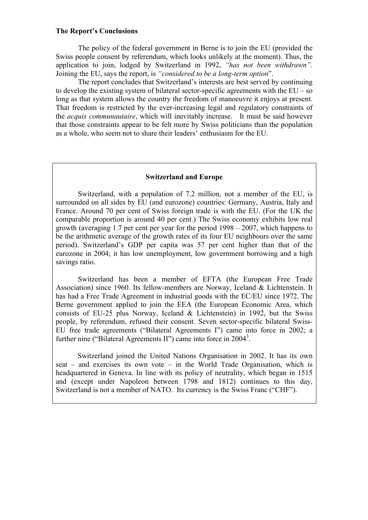#### **The Report's Conclusions**

The policy of the federal government in Berne is to join the EU (provided the Swiss people consent by referendum, which looks unlikely at the moment). Thus, the application to join, lodged by Switzerland in 1992, *"has not been withdrawn".* Joining the EU, says the report, is *"considered to be a long-term option*".

The report concludes that Switzerland's interests are best served by continuing to develop the existing system of bilateral sector-specific agreements with the EU – so long as that system allows the country the freedom of manoeuvre it enjoys at present. That freedom is restricted by the ever-increasing legal and regulatory constraints of the *acquis communautaire*, which will inevitably increase. It must be said however that those constraints appear to be felt more by Swiss politicians than the population as a whole, who seem not to share their leaders' enthusiasm for the EU.

#### **Switzerland and Europe**

Switzerland, with a population of 7.2 million, not a member of the EU, is surrounded on all sides by EU (and eurozone) countries: Germany, Austria, Italy and France. Around 70 per cent of Swiss foreign trade is with the EU. (For the UK the comparable proportion is around 40 per cent.) The Swiss economy exhibits low real growth (averaging 1.7 per cent per year for the period 1998 – 2007, which happens to be the arithmetic average of the growth rates of its four EU neighbours over the same period). Switzerland's GDP per capita was 57 per cent higher than that of the eurozone in 2004; it has low unemployment, low government borrowing and a high savings ratio.

Switzerland has been a member of EFTA (the European Free Trade Association) since 1960. Its fellow-members are Norway, Iceland & Lichtenstein. It has had a Free Trade Agreement in industrial goods with the EC/EU since 1972. The Berne government applied to join the EEA (the European Economic Area, which consists of EU-25 plus Norway, Iceland & Lichtenstein) in 1992, but the Swiss people, by referendum, refused their consent. Seven sector-specific bilateral Swiss-EU free trade agreements ("Bilateral Agreements I") came into force in 2002; a further nine ("Bilateral Agreements II") came into force in 2004<sup>3</sup>.

Switzerland joined the United Nations Organisation in 2002. It has its own seat – and exercises its own vote – in the World Trade Organisation, which is headquartered in Geneva. In line with its policy of neutrality, which began in 1515 and (except under Napoleon between 1798 and 1812) continues to this day, Switzerland is not a member of NATO. Its currency is the Swiss Franc ("CHF").